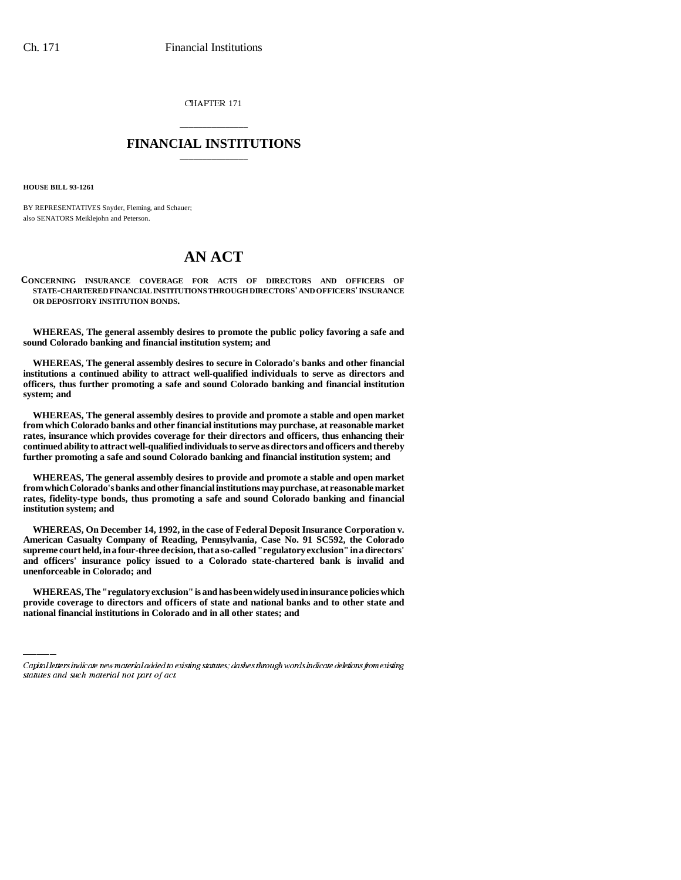CHAPTER 171

## \_\_\_\_\_\_\_\_\_\_\_\_\_\_\_ **FINANCIAL INSTITUTIONS** \_\_\_\_\_\_\_\_\_\_\_\_\_\_\_

**HOUSE BILL 93-1261**

BY REPRESENTATIVES Snyder, Fleming, and Schauer; also SENATORS Meiklejohn and Peterson.

## **AN ACT**

**CONCERNING INSURANCE COVERAGE FOR ACTS OF DIRECTORS AND OFFICERS OF STATE-CHARTERED FINANCIAL INSTITUTIONS THROUGH DIRECTORS' AND OFFICERS' INSURANCE OR DEPOSITORY INSTITUTION BONDS.**

**WHEREAS, The general assembly desires to promote the public policy favoring a safe and sound Colorado banking and financial institution system; and**

**WHEREAS, The general assembly desires to secure in Colorado's banks and other financial institutions a continued ability to attract well-qualified individuals to serve as directors and officers, thus further promoting a safe and sound Colorado banking and financial institution system; and**

**WHEREAS, The general assembly desires to provide and promote a stable and open market from which Colorado banks and other financial institutions may purchase, at reasonable market rates, insurance which provides coverage for their directors and officers, thus enhancing their continued ability to attract well-qualified individuals to serve as directors and officers and thereby further promoting a safe and sound Colorado banking and financial institution system; and**

**WHEREAS, The general assembly desires to provide and promote a stable and open market from which Colorado's banks and other financial institutions may purchase, at reasonable market rates, fidelity-type bonds, thus promoting a safe and sound Colorado banking and financial institution system; and**

 **unenforceable in Colorado; and WHEREAS, On December 14, 1992, in the case of Federal Deposit Insurance Corporation v. American Casualty Company of Reading, Pennsylvania, Case No. 91 SC592, the Colorado supreme court held, in a four-three decision, that a so-called "regulatory exclusion" in a directors' and officers' insurance policy issued to a Colorado state-chartered bank is invalid and**

**WHEREAS, The "regulatory exclusion" is and has been widely used in insurance policies which provide coverage to directors and officers of state and national banks and to other state and national financial institutions in Colorado and in all other states; and**

Capital letters indicate new material added to existing statutes; dashes through words indicate deletions from existing statutes and such material not part of act.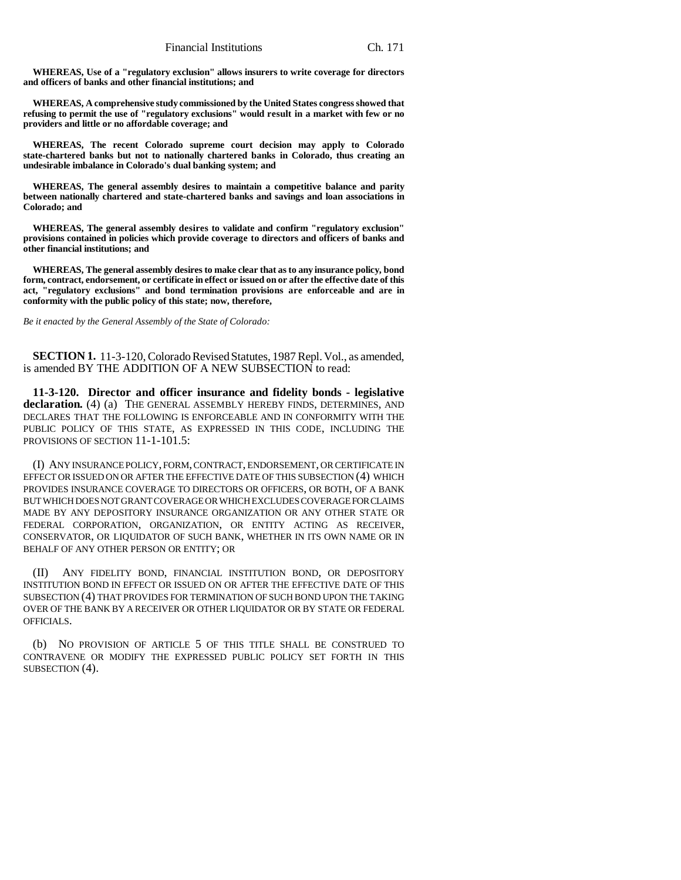**WHEREAS, Use of a "regulatory exclusion" allows insurers to write coverage for directors and officers of banks and other financial institutions; and**

**WHEREAS, A comprehensive study commissioned by the United States congress showed that refusing to permit the use of "regulatory exclusions" would result in a market with few or no providers and little or no affordable coverage; and**

**WHEREAS, The recent Colorado supreme court decision may apply to Colorado state-chartered banks but not to nationally chartered banks in Colorado, thus creating an undesirable imbalance in Colorado's dual banking system; and**

**WHEREAS, The general assembly desires to maintain a competitive balance and parity between nationally chartered and state-chartered banks and savings and loan associations in Colorado; and**

**WHEREAS, The general assembly desires to validate and confirm "regulatory exclusion" provisions contained in policies which provide coverage to directors and officers of banks and other financial institutions; and**

**WHEREAS, The general assembly desires to make clear that as to any insurance policy, bond form, contract, endorsement, or certificate in effect or issued on or after the effective date of this act, "regulatory exclusions" and bond termination provisions are enforceable and are in conformity with the public policy of this state; now, therefore,**

*Be it enacted by the General Assembly of the State of Colorado:*

**SECTION 1.** 11-3-120, Colorado Revised Statutes, 1987 Repl. Vol., as amended, is amended BY THE ADDITION OF A NEW SUBSECTION to read:

**11-3-120. Director and officer insurance and fidelity bonds - legislative declaration.** (4) (a) THE GENERAL ASSEMBLY HEREBY FINDS, DETERMINES, AND DECLARES THAT THE FOLLOWING IS ENFORCEABLE AND IN CONFORMITY WITH THE PUBLIC POLICY OF THIS STATE, AS EXPRESSED IN THIS CODE, INCLUDING THE PROVISIONS OF SECTION 11-1-101.5:

(I) ANY INSURANCE POLICY, FORM, CONTRACT, ENDORSEMENT, OR CERTIFICATE IN EFFECT OR ISSUED ON OR AFTER THE EFFECTIVE DATE OF THIS SUBSECTION (4) WHICH PROVIDES INSURANCE COVERAGE TO DIRECTORS OR OFFICERS, OR BOTH, OF A BANK BUT WHICH DOES NOT GRANT COVERAGE OR WHICH EXCLUDES COVERAGE FOR CLAIMS MADE BY ANY DEPOSITORY INSURANCE ORGANIZATION OR ANY OTHER STATE OR FEDERAL CORPORATION, ORGANIZATION, OR ENTITY ACTING AS RECEIVER, CONSERVATOR, OR LIQUIDATOR OF SUCH BANK, WHETHER IN ITS OWN NAME OR IN BEHALF OF ANY OTHER PERSON OR ENTITY; OR

(II) ANY FIDELITY BOND, FINANCIAL INSTITUTION BOND, OR DEPOSITORY INSTITUTION BOND IN EFFECT OR ISSUED ON OR AFTER THE EFFECTIVE DATE OF THIS SUBSECTION (4) THAT PROVIDES FOR TERMINATION OF SUCH BOND UPON THE TAKING OVER OF THE BANK BY A RECEIVER OR OTHER LIQUIDATOR OR BY STATE OR FEDERAL OFFICIALS.

(b) NO PROVISION OF ARTICLE 5 OF THIS TITLE SHALL BE CONSTRUED TO CONTRAVENE OR MODIFY THE EXPRESSED PUBLIC POLICY SET FORTH IN THIS SUBSECTION (4).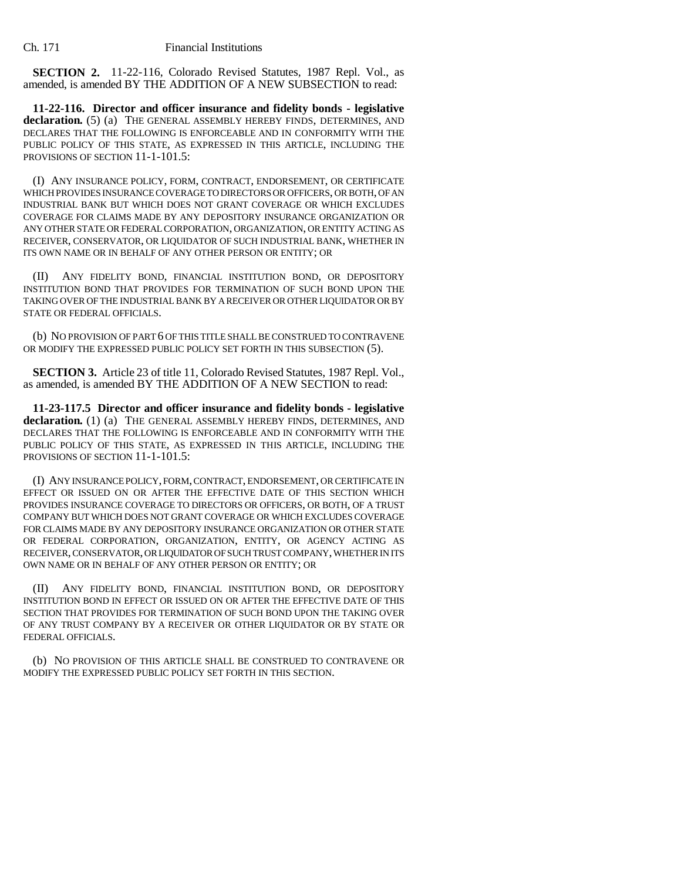**SECTION 2.** 11-22-116, Colorado Revised Statutes, 1987 Repl. Vol., as amended, is amended BY THE ADDITION OF A NEW SUBSECTION to read:

**11-22-116. Director and officer insurance and fidelity bonds - legislative declaration.** (5) (a) THE GENERAL ASSEMBLY HEREBY FINDS, DETERMINES, AND DECLARES THAT THE FOLLOWING IS ENFORCEABLE AND IN CONFORMITY WITH THE PUBLIC POLICY OF THIS STATE, AS EXPRESSED IN THIS ARTICLE, INCLUDING THE PROVISIONS OF SECTION 11-1-101.5:

(I) ANY INSURANCE POLICY, FORM, CONTRACT, ENDORSEMENT, OR CERTIFICATE WHICH PROVIDES INSURANCE COVERAGE TO DIRECTORS OR OFFICERS, OR BOTH, OF AN INDUSTRIAL BANK BUT WHICH DOES NOT GRANT COVERAGE OR WHICH EXCLUDES COVERAGE FOR CLAIMS MADE BY ANY DEPOSITORY INSURANCE ORGANIZATION OR ANY OTHER STATE OR FEDERAL CORPORATION, ORGANIZATION, OR ENTITY ACTING AS RECEIVER, CONSERVATOR, OR LIQUIDATOR OF SUCH INDUSTRIAL BANK, WHETHER IN ITS OWN NAME OR IN BEHALF OF ANY OTHER PERSON OR ENTITY; OR

(II) ANY FIDELITY BOND, FINANCIAL INSTITUTION BOND, OR DEPOSITORY INSTITUTION BOND THAT PROVIDES FOR TERMINATION OF SUCH BOND UPON THE TAKING OVER OF THE INDUSTRIAL BANK BY A RECEIVER OR OTHER LIQUIDATOR OR BY STATE OR FEDERAL OFFICIALS.

(b) NO PROVISION OF PART 6 OF THIS TITLE SHALL BE CONSTRUED TO CONTRAVENE OR MODIFY THE EXPRESSED PUBLIC POLICY SET FORTH IN THIS SUBSECTION (5).

**SECTION 3.** Article 23 of title 11, Colorado Revised Statutes, 1987 Repl. Vol., as amended, is amended BY THE ADDITION OF A NEW SECTION to read:

**11-23-117.5 Director and officer insurance and fidelity bonds - legislative** declaration. (1) (a) THE GENERAL ASSEMBLY HEREBY FINDS, DETERMINES, AND DECLARES THAT THE FOLLOWING IS ENFORCEABLE AND IN CONFORMITY WITH THE PUBLIC POLICY OF THIS STATE, AS EXPRESSED IN THIS ARTICLE, INCLUDING THE PROVISIONS OF SECTION 11-1-101.5:

(I) ANY INSURANCE POLICY, FORM, CONTRACT, ENDORSEMENT, OR CERTIFICATE IN EFFECT OR ISSUED ON OR AFTER THE EFFECTIVE DATE OF THIS SECTION WHICH PROVIDES INSURANCE COVERAGE TO DIRECTORS OR OFFICERS, OR BOTH, OF A TRUST COMPANY BUT WHICH DOES NOT GRANT COVERAGE OR WHICH EXCLUDES COVERAGE FOR CLAIMS MADE BY ANY DEPOSITORY INSURANCE ORGANIZATION OR OTHER STATE OR FEDERAL CORPORATION, ORGANIZATION, ENTITY, OR AGENCY ACTING AS RECEIVER, CONSERVATOR, OR LIQUIDATOR OF SUCH TRUST COMPANY, WHETHER IN ITS OWN NAME OR IN BEHALF OF ANY OTHER PERSON OR ENTITY; OR

(II) ANY FIDELITY BOND, FINANCIAL INSTITUTION BOND, OR DEPOSITORY INSTITUTION BOND IN EFFECT OR ISSUED ON OR AFTER THE EFFECTIVE DATE OF THIS SECTION THAT PROVIDES FOR TERMINATION OF SUCH BOND UPON THE TAKING OVER OF ANY TRUST COMPANY BY A RECEIVER OR OTHER LIQUIDATOR OR BY STATE OR FEDERAL OFFICIALS.

(b) NO PROVISION OF THIS ARTICLE SHALL BE CONSTRUED TO CONTRAVENE OR MODIFY THE EXPRESSED PUBLIC POLICY SET FORTH IN THIS SECTION.